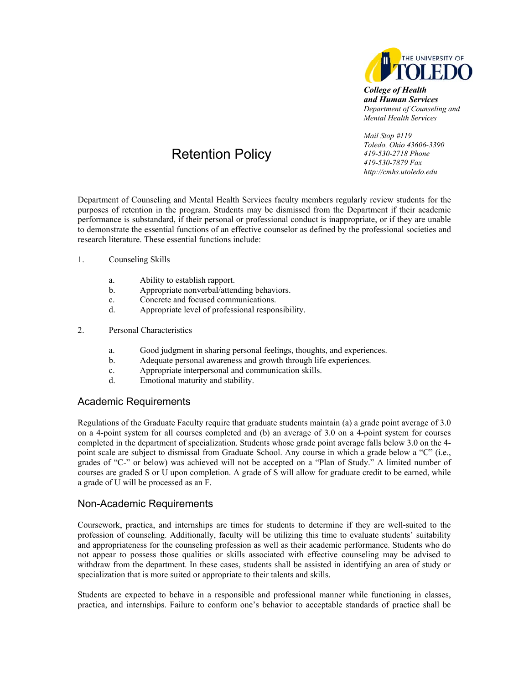

*College of Health and Human Services Department of Counseling and Mental Health Services* 

## Retention Policy

*Mail Stop #119 Toledo, Ohio 43606-3390 419-530-2718 Phone 419-530-7879 Fax http://cmhs.utoledo.edu* 

Department of Counseling and Mental Health Services faculty members regularly review students for the purposes of retention in the program. Students may be dismissed from the Department if their academic performance is substandard, if their personal or professional conduct is inappropriate, or if they are unable to demonstrate the essential functions of an effective counselor as defined by the professional societies and research literature. These essential functions include:

- 1. Counseling Skills
	- a. Ability to establish rapport.
	- b. Appropriate nonverbal/attending behaviors.
	- c. Concrete and focused communications.
	- d. Appropriate level of professional responsibility.
- 2. Personal Characteristics
	- a. Good judgment in sharing personal feelings, thoughts, and experiences.
	- b. Adequate personal awareness and growth through life experiences.
	- c. Appropriate interpersonal and communication skills.
	- d. Emotional maturity and stability.

## Academic Requirements

Regulations of the Graduate Faculty require that graduate students maintain (a) a grade point average of 3.0 on a 4-point system for all courses completed and (b) an average of 3.0 on a 4-point system for courses completed in the department of specialization. Students whose grade point average falls below 3.0 on the 4 point scale are subject to dismissal from Graduate School. Any course in which a grade below a "C" (i.e., grades of "C-" or below) was achieved will not be accepted on a "Plan of Study." A limited number of courses are graded S or U upon completion. A grade of S will allow for graduate credit to be earned, while a grade of U will be processed as an F.

## Non-Academic Requirements

Coursework, practica, and internships are times for students to determine if they are well-suited to the profession of counseling. Additionally, faculty will be utilizing this time to evaluate students' suitability and appropriateness for the counseling profession as well as their academic performance. Students who do not appear to possess those qualities or skills associated with effective counseling may be advised to withdraw from the department. In these cases, students shall be assisted in identifying an area of study or specialization that is more suited or appropriate to their talents and skills.

Students are expected to behave in a responsible and professional manner while functioning in classes, practica, and internships. Failure to conform one's behavior to acceptable standards of practice shall be